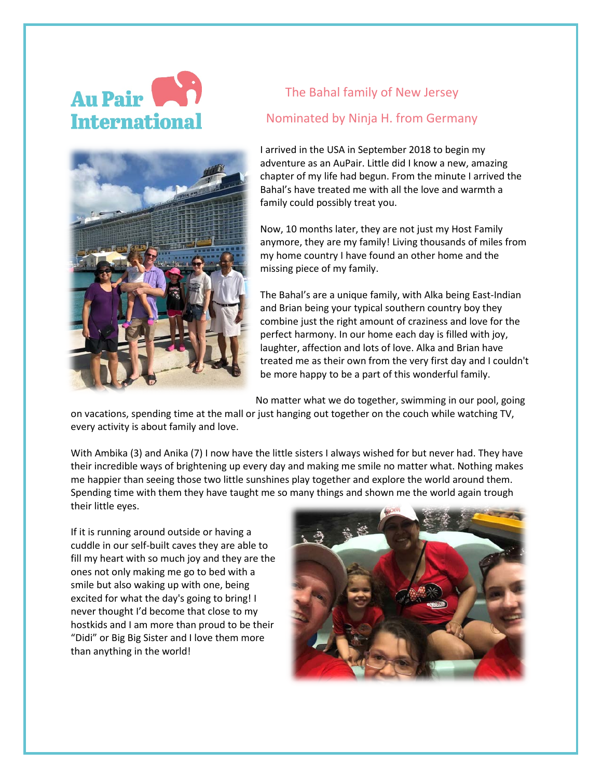## Au Pair **Internationa**



## The Bahal family of New Jersey Nominated by Ninja H. from Germany

I arrived in the USA in September 2018 to begin my adventure as an AuPair. Little did I know a new, amazing chapter of my life had begun. From the minute I arrived the Bahal's have treated me with all the love and warmth a family could possibly treat you.

Now, 10 months later, they are not just my Host Family anymore, they are my family! Living thousands of miles from my home country I have found an other home and the missing piece of my family.

The Bahal's are a unique family, with Alka being East-Indian and Brian being your typical southern country boy they combine just the right amount of craziness and love for the perfect harmony. In our home each day is filled with joy, laughter, affection and lots of love. Alka and Brian have treated me as their own from the very first day and I couldn't be more happy to be a part of this wonderful family.

No matter what we do together, swimming in our pool, going

on vacations, spending time at the mall or just hanging out together on the couch while watching TV, every activity is about family and love.

With Ambika (3) and Anika (7) I now have the little sisters I always wished for but never had. They have their incredible ways of brightening up every day and making me smile no matter what. Nothing makes me happier than seeing those two little sunshines play together and explore the world around them. Spending time with them they have taught me so many things and shown me the world again trough their little eyes.

If it is running around outside or having a cuddle in our self-built caves they are able to fill my heart with so much joy and they are the ones not only making me go to bed with a smile but also waking up with one, being excited for what the day's going to bring! I never thought I'd become that close to my hostkids and I am more than proud to be their "Didi" or Big Big Sister and I love them more than anything in the world!

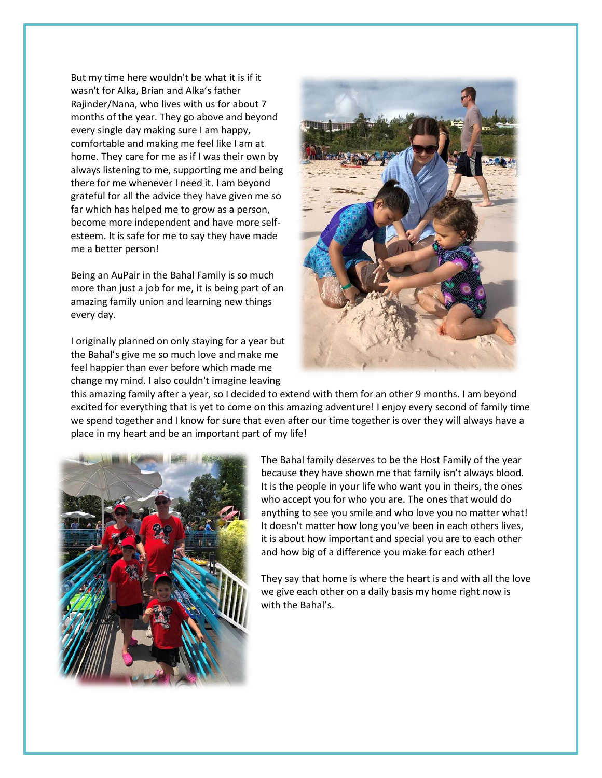But my time here wouldn't be what it is if it wasn't for Alka, Brian and Alka's father Rajinder/Nana, who lives with us for about 7 months of the year. They go above and beyond every single day making sure I am happy, comfortable and making me feel like I am at home. They care for me as if I was their own by always listening to me, supporting me and being there for me whenever I need it. I am beyond grateful for all the advice they have given me so far which has helped me to grow as a person, become more independent and have more selfesteem. It is safe for me to say they have made me a better person!

Being an AuPair in the Bahal Family is so much more than just a job for me, it is being part of an amazing family union and learning new things every day.

I originally planned on only staying for a year but the Bahal's give me so much love and make me feel happier than ever before which made me change my mind. I also couldn't imagine leaving



this amazing family after a year, so I decided to extend with them for an other 9 months. I am beyond excited for everything that is yet to come on this amazing adventure! I enjoy every second of family time we spend together and I know for sure that even after our time together is over they will always have a place in my heart and be an important part of my life!



The Bahal family deserves to be the Host Family of the year because they have shown me that family isn't always blood. It is the people in your life who want you in theirs, the ones who accept you for who you are. The ones that would do anything to see you smile and who love you no matter what! It doesn't matter how long you've been in each others lives, it is about how important and special you are to each other and how big of a difference you make for each other!

They say that home is where the heart is and with all the love we give each other on a daily basis my home right now is with the Bahal's.